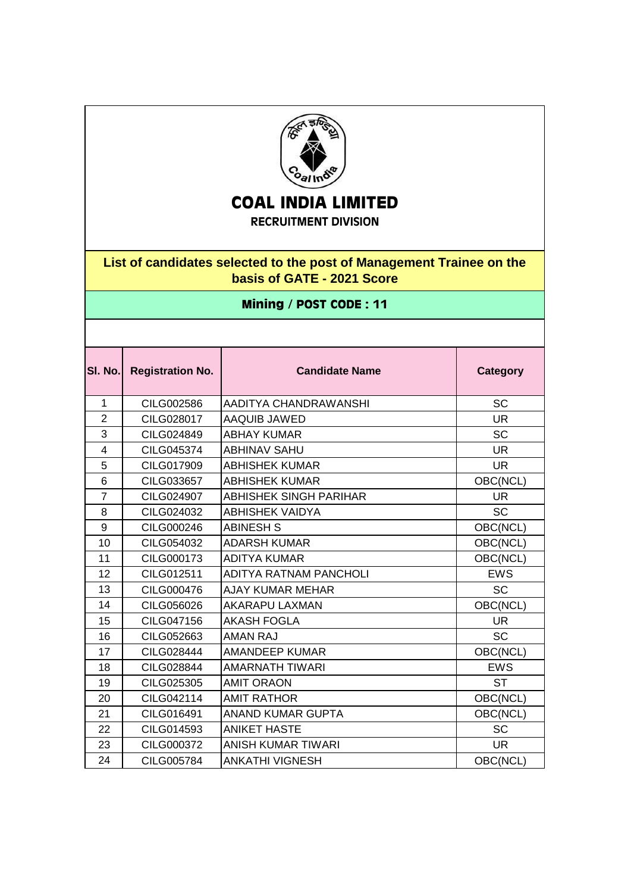

## **COAL INDIA LIMITED**

## **RECRUITMENT DIVISION**

## **List of candidates selected to the post of Management Trainee on the basis of GATE - 2021 Score**

## **Mining / POST CODE : 11**

| SI. No.        | <b>Registration No.</b> | <b>Candidate Name</b>         | <b>Category</b> |
|----------------|-------------------------|-------------------------------|-----------------|
| $\mathbf{1}$   | CILG002586              | AADITYA CHANDRAWANSHI         | <b>SC</b>       |
| $\overline{2}$ | CILG028017              | AAQUIB JAWED                  | <b>UR</b>       |
| 3              | CILG024849              | <b>ABHAY KUMAR</b>            | <b>SC</b>       |
| $\overline{4}$ | CILG045374              | <b>ABHINAV SAHU</b>           | <b>UR</b>       |
| 5              | CILG017909              | <b>ABHISHEK KUMAR</b>         | <b>UR</b>       |
| 6              | CILG033657              | <b>ABHISHEK KUMAR</b>         | OBC(NCL)        |
| $\overline{7}$ | CILG024907              | <b>ABHISHEK SINGH PARIHAR</b> | <b>UR</b>       |
| 8              | CILG024032              | <b>ABHISHEK VAIDYA</b>        | <b>SC</b>       |
| 9              | CILG000246              | <b>ABINESH S</b>              | OBC(NCL)        |
| 10             | CILG054032              | <b>ADARSH KUMAR</b>           | OBC(NCL)        |
| 11             | <b>CILG000173</b>       | <b>ADITYA KUMAR</b>           | OBC(NCL)        |
| 12             | CILG012511              | ADITYA RATNAM PANCHOLI        | <b>EWS</b>      |
| 13             | CILG000476              | <b>AJAY KUMAR MEHAR</b>       | <b>SC</b>       |
| 14             | CILG056026              | AKARAPU LAXMAN                | OBC(NCL)        |
| 15             | CILG047156              | <b>AKASH FOGLA</b>            | <b>UR</b>       |
| 16             | CILG052663              | <b>AMAN RAJ</b>               | <b>SC</b>       |
| 17             | CILG028444              | <b>AMANDEEP KUMAR</b>         | OBC(NCL)        |
| 18             | CILG028844              | AMARNATH TIWARI               | <b>EWS</b>      |
| 19             | CILG025305              | <b>AMIT ORAON</b>             | <b>ST</b>       |
| 20             | CILG042114              | <b>AMIT RATHOR</b>            | OBC(NCL)        |
| 21             | CILG016491              | ANAND KUMAR GUPTA             | OBC(NCL)        |
| 22             | CILG014593              | <b>ANIKET HASTE</b>           | <b>SC</b>       |
| 23             | CILG000372              | ANISH KUMAR TIWARI            | UR.             |
| 24             | CILG005784              | ANKATHI VIGNESH               | OBC(NCL)        |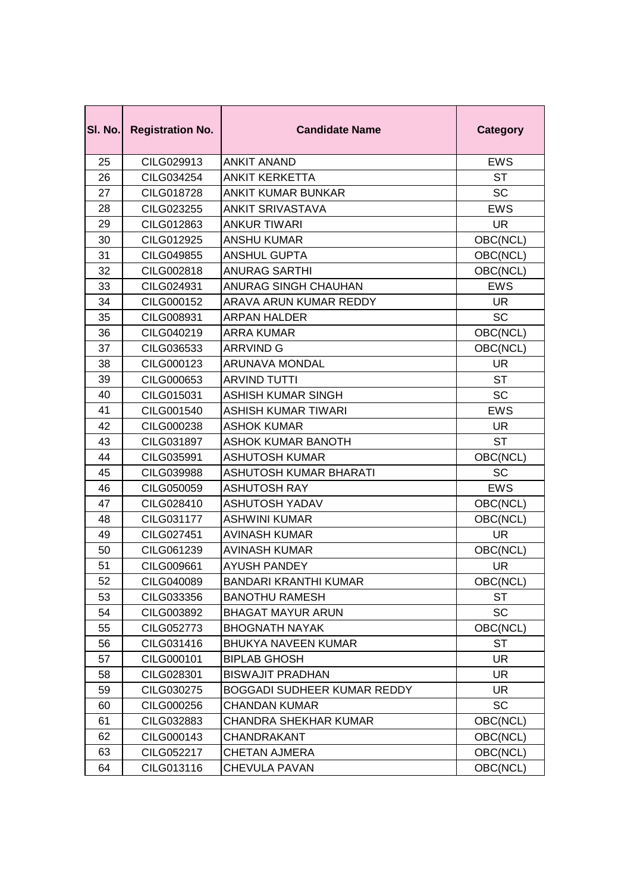| SI. No. | <b>Registration No.</b> | <b>Candidate Name</b>        | <b>Category</b> |
|---------|-------------------------|------------------------------|-----------------|
| 25      | CILG029913              | <b>ANKIT ANAND</b>           | <b>EWS</b>      |
| 26      | CILG034254              | <b>ANKIT KERKETTA</b>        | <b>ST</b>       |
| 27      | CILG018728              | <b>ANKIT KUMAR BUNKAR</b>    | <b>SC</b>       |
| 28      | CILG023255              | <b>ANKIT SRIVASTAVA</b>      | <b>EWS</b>      |
| 29      | CILG012863              | <b>ANKUR TIWARI</b>          | <b>UR</b>       |
| 30      | <b>CILG012925</b>       | <b>ANSHU KUMAR</b>           | OBC(NCL)        |
| 31      | CILG049855              | <b>ANSHUL GUPTA</b>          | OBC(NCL)        |
| 32      | CILG002818              | <b>ANURAG SARTHI</b>         | OBC(NCL)        |
| 33      | CILG024931              | ANURAG SINGH CHAUHAN         | <b>EWS</b>      |
| 34      | CILG000152              | ARAVA ARUN KUMAR REDDY       | <b>UR</b>       |
| 35      | CILG008931              | <b>ARPAN HALDER</b>          | <b>SC</b>       |
| 36      | CILG040219              | <b>ARRA KUMAR</b>            | OBC(NCL)        |
| 37      | CILG036533              | <b>ARRVIND G</b>             | OBC(NCL)        |
| 38      | CILG000123              | <b>ARUNAVA MONDAL</b>        | <b>UR</b>       |
| 39      | CILG000653              | <b>ARVIND TUTTI</b>          | <b>ST</b>       |
| 40      | CILG015031              | <b>ASHISH KUMAR SINGH</b>    | <b>SC</b>       |
| 41      | CILG001540              | <b>ASHISH KUMAR TIWARI</b>   | <b>EWS</b>      |
| 42      | CILG000238              | <b>ASHOK KUMAR</b>           | <b>UR</b>       |
| 43      | CILG031897              | <b>ASHOK KUMAR BANOTH</b>    | <b>ST</b>       |
| 44      | CILG035991              | <b>ASHUTOSH KUMAR</b>        | OBC(NCL)        |
| 45      | CILG039988              | ASHUTOSH KUMAR BHARATI       | <b>SC</b>       |
| 46      | CILG050059              | <b>ASHUTOSH RAY</b>          | <b>EWS</b>      |
| 47      | CILG028410              | <b>ASHUTOSH YADAV</b>        | OBC(NCL)        |
| 48      | CILG031177              | <b>ASHWINI KUMAR</b>         | OBC(NCL)        |
| 49      | CILG027451              | <b>AVINASH KUMAR</b>         | <b>UR</b>       |
| 50      | CILG061239              | <b>AVINASH KUMAR</b>         | OBC(NCL)        |
| 51      | CILG009661              | <b>AYUSH PANDEY</b>          | <b>UR</b>       |
| 52      | CILG040089              | <b>BANDARI KRANTHI KUMAR</b> | OBC(NCL)        |
| 53      | CILG033356              | <b>BANOTHU RAMESH</b>        | <b>ST</b>       |
| 54      | CILG003892              | <b>BHAGAT MAYUR ARUN</b>     | SC              |
| 55      | CILG052773              | <b>BHOGNATH NAYAK</b>        | OBC(NCL)        |
| 56      | CILG031416              | <b>BHUKYA NAVEEN KUMAR</b>   | <b>ST</b>       |
| 57      | CILG000101              | <b>BIPLAB GHOSH</b>          | <b>UR</b>       |
| 58      | CILG028301              | <b>BISWAJIT PRADHAN</b>      | <b>UR</b>       |
| 59      | CILG030275              | BOGGADI SUDHEER KUMAR REDDY  | <b>UR</b>       |
| 60      | CILG000256              | <b>CHANDAN KUMAR</b>         | SC              |
| 61      | CILG032883              | <b>CHANDRA SHEKHAR KUMAR</b> | OBC(NCL)        |
| 62      | CILG000143              | CHANDRAKANT                  | OBC(NCL)        |
| 63      | CILG052217              | <b>CHETAN AJMERA</b>         | OBC(NCL)        |
| 64      | CILG013116              | CHEVULA PAVAN                | OBC(NCL)        |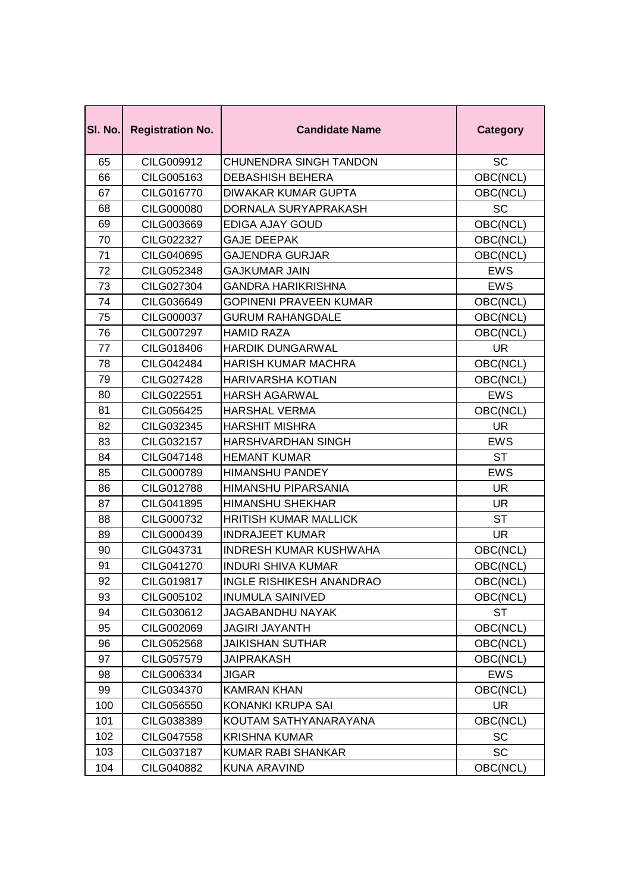| SI. No. | <b>Registration No.</b> | <b>Candidate Name</b>         | <b>Category</b> |
|---------|-------------------------|-------------------------------|-----------------|
| 65      | CILG009912              | <b>CHUNENDRA SINGH TANDON</b> | <b>SC</b>       |
| 66      | CILG005163              | <b>DEBASHISH BEHERA</b>       | OBC(NCL)        |
| 67      | CILG016770              | <b>DIWAKAR KUMAR GUPTA</b>    | OBC(NCL)        |
| 68      | CILG000080              | DORNALA SURYAPRAKASH          | <b>SC</b>       |
| 69      | CILG003669              | EDIGA AJAY GOUD               | OBC(NCL)        |
| 70      | CILG022327              | <b>GAJE DEEPAK</b>            | OBC(NCL)        |
| 71      | CILG040695              | <b>GAJENDRA GURJAR</b>        | OBC(NCL)        |
| 72      | CILG052348              | <b>GAJKUMAR JAIN</b>          | <b>EWS</b>      |
| 73      | CILG027304              | <b>GANDRA HARIKRISHNA</b>     | <b>EWS</b>      |
| 74      | CILG036649              | <b>GOPINENI PRAVEEN KUMAR</b> | OBC(NCL)        |
| 75      | CILG000037              | <b>GURUM RAHANGDALE</b>       | OBC(NCL)        |
| 76      | <b>CILG007297</b>       | <b>HAMID RAZA</b>             | OBC(NCL)        |
| 77      | CILG018406              | <b>HARDIK DUNGARWAL</b>       | <b>UR</b>       |
| 78      | CILG042484              | <b>HARISH KUMAR MACHRA</b>    | OBC(NCL)        |
| 79      | CILG027428              | <b>HARIVARSHA KOTIAN</b>      | OBC(NCL)        |
| 80      | CILG022551              | <b>HARSH AGARWAL</b>          | <b>EWS</b>      |
| 81      | CILG056425              | <b>HARSHAL VERMA</b>          | OBC(NCL)        |
| 82      | CILG032345              | <b>HARSHIT MISHRA</b>         | <b>UR</b>       |
| 83      | CILG032157              | HARSHVARDHAN SINGH            | <b>EWS</b>      |
| 84      | CILG047148              | <b>HEMANT KUMAR</b>           | ST              |
| 85      | CILG000789              | <b>HIMANSHU PANDEY</b>        | <b>EWS</b>      |
| 86      | CILG012788              | <b>HIMANSHU PIPARSANIA</b>    | UR              |
| 87      | CILG041895              | <b>HIMANSHU SHEKHAR</b>       | <b>UR</b>       |
| 88      | CILG000732              | <b>HRITISH KUMAR MALLICK</b>  | <b>ST</b>       |
| 89      | CILG000439              | <b>INDRAJEET KUMAR</b>        | <b>UR</b>       |
| 90      | CILG043731              | <b>INDRESH KUMAR KUSHWAHA</b> | OBC(NCL)        |
| 91      | CILG041270              | <b>INDURI SHIVA KUMAR</b>     | OBC(NCL)        |
| 92      | CILG019817              | INGLE RISHIKESH ANANDRAO      | OBC(NCL)        |
| 93      | CILG005102              | <b>INUMULA SAINIVED</b>       | OBC(NCL)        |
| 94      | CILG030612              | <b>JAGABANDHU NAYAK</b>       | <b>ST</b>       |
| 95      | CILG002069              | <b>JAGIRI JAYANTH</b>         | OBC(NCL)        |
| 96      | CILG052568              | <b>JAIKISHAN SUTHAR</b>       | OBC(NCL)        |
| 97      | CILG057579              | <b>JAIPRAKASH</b>             | OBC(NCL)        |
| 98      | CILG006334              | <b>JIGAR</b>                  | <b>EWS</b>      |
| 99      | CILG034370              | <b>KAMRAN KHAN</b>            | OBC(NCL)        |
| 100     | CILG056550              | KONANKI KRUPA SAI             | <b>UR</b>       |
| 101     | CILG038389              | KOUTAM SATHYANARAYANA         | OBC(NCL)        |
| 102     | CILG047558              | <b>KRISHNA KUMAR</b>          | SC              |
| 103     | CILG037187              | KUMAR RABI SHANKAR            | <b>SC</b>       |
| 104     | CILG040882              | KUNA ARAVIND                  | OBC(NCL)        |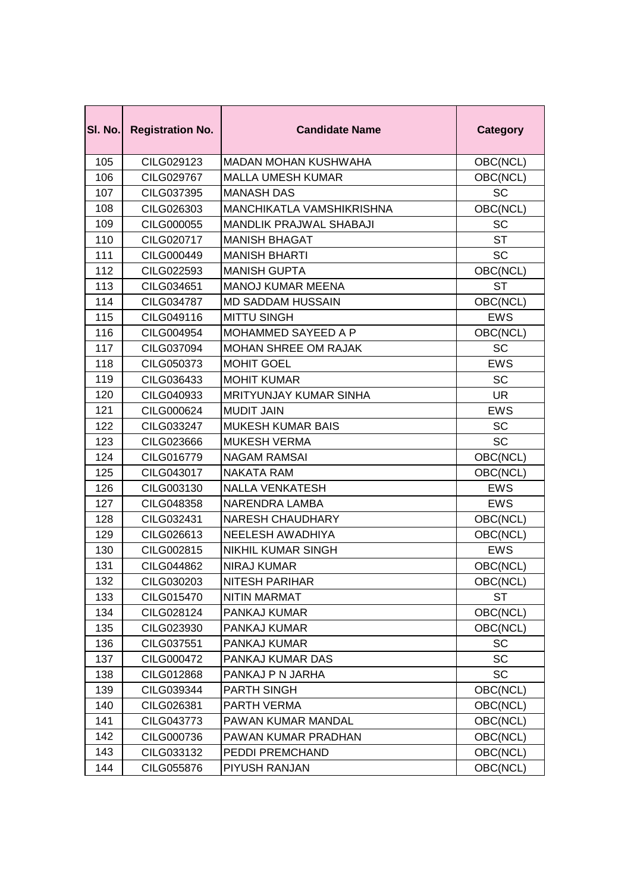| SI. No. | <b>Registration No.</b> | <b>Candidate Name</b>          | <b>Category</b> |
|---------|-------------------------|--------------------------------|-----------------|
| 105     | CILG029123              | <b>MADAN MOHAN KUSHWAHA</b>    | OBC(NCL)        |
| 106     | CILG029767              | <b>MALLA UMESH KUMAR</b>       | OBC(NCL)        |
| 107     | CILG037395              | <b>MANASH DAS</b>              | <b>SC</b>       |
| 108     | CILG026303              | MANCHIKATLA VAMSHIKRISHNA      | OBC(NCL)        |
| 109     | CILG000055              | <b>MANDLIK PRAJWAL SHABAJI</b> | SC              |
| 110     | CILG020717              | <b>MANISH BHAGAT</b>           | <b>ST</b>       |
| 111     | CILG000449              | <b>MANISH BHARTI</b>           | <b>SC</b>       |
| 112     | CILG022593              | <b>MANISH GUPTA</b>            | OBC(NCL)        |
| 113     | CILG034651              | <b>MANOJ KUMAR MEENA</b>       | <b>ST</b>       |
| 114     | CILG034787              | <b>MD SADDAM HUSSAIN</b>       | OBC(NCL)        |
| 115     | CILG049116              | <b>MITTU SINGH</b>             | <b>EWS</b>      |
| 116     | CILG004954              | <b>MOHAMMED SAYEED A P</b>     | OBC(NCL)        |
| 117     | CILG037094              | <b>MOHAN SHREE OM RAJAK</b>    | SC              |
| 118     | CILG050373              | <b>MOHIT GOEL</b>              | <b>EWS</b>      |
| 119     | CILG036433              | <b>MOHIT KUMAR</b>             | <b>SC</b>       |
| 120     | CILG040933              | MRITYUNJAY KUMAR SINHA         | <b>UR</b>       |
| 121     | CILG000624              | <b>MUDIT JAIN</b>              | <b>EWS</b>      |
| 122     | CILG033247              | <b>MUKESH KUMAR BAIS</b>       | <b>SC</b>       |
| 123     | CILG023666              | <b>MUKESH VERMA</b>            | <b>SC</b>       |
| 124     | CILG016779              | NAGAM RAMSAI                   | OBC(NCL)        |
| 125     | CILG043017              | <b>NAKATA RAM</b>              | OBC(NCL)        |
| 126     | CILG003130              | <b>NALLA VENKATESH</b>         | <b>EWS</b>      |
| 127     | CILG048358              | NARENDRA LAMBA                 | <b>EWS</b>      |
| 128     | CILG032431              | <b>NARESH CHAUDHARY</b>        | OBC(NCL)        |
| 129     | CILG026613              | NEELESH AWADHIYA               | OBC(NCL)        |
| 130     | CILG002815              | <b>NIKHIL KUMAR SINGH</b>      | <b>EWS</b>      |
| 131     | CILG044862              | <b>NIRAJ KUMAR</b>             | OBC(NCL)        |
| 132     | CILG030203              | <b>NITESH PARIHAR</b>          | OBC(NCL)        |
| 133     | CILG015470              | <b>NITIN MARMAT</b>            | <b>ST</b>       |
| 134     | CILG028124              | PANKAJ KUMAR                   | OBC(NCL)        |
| 135     | CILG023930              | PANKAJ KUMAR                   | OBC(NCL)        |
| 136     | CILG037551              | PANKAJ KUMAR                   | SC              |
| 137     | CILG000472              | PANKAJ KUMAR DAS               | <b>SC</b>       |
| 138     | CILG012868              | PANKAJ P N JARHA               | SC              |
| 139     | CILG039344              | <b>PARTH SINGH</b>             | OBC(NCL)        |
| 140     | CILG026381              | PARTH VERMA                    | OBC(NCL)        |
| 141     | CILG043773              | PAWAN KUMAR MANDAL             | OBC(NCL)        |
| 142     | CILG000736              | PAWAN KUMAR PRADHAN            | OBC(NCL)        |
| 143     | CILG033132              | PEDDI PREMCHAND                | OBC(NCL)        |
| 144     | CILG055876              | PIYUSH RANJAN                  | OBC(NCL)        |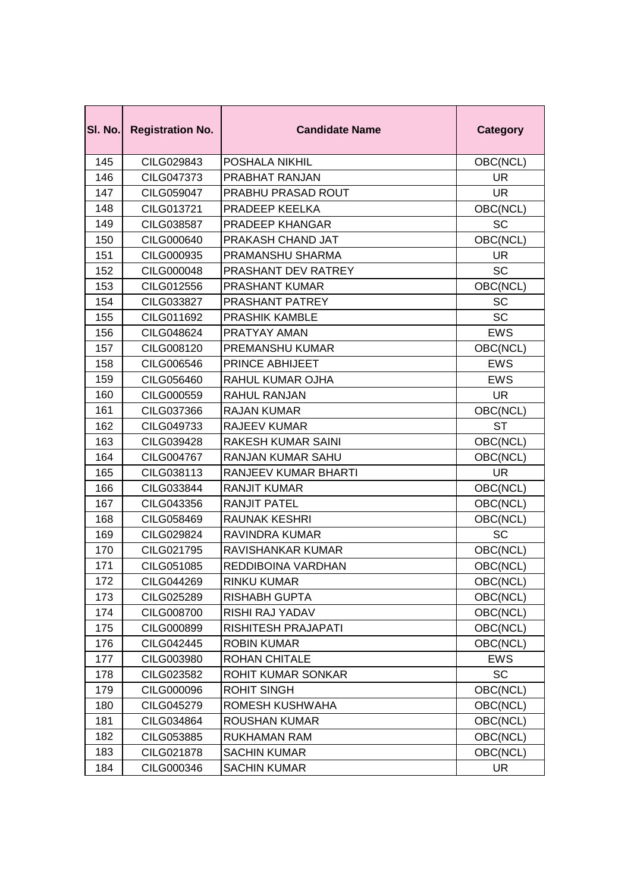| SI. No. | <b>Registration No.</b> | <b>Candidate Name</b>       | <b>Category</b> |
|---------|-------------------------|-----------------------------|-----------------|
| 145     | CILG029843              | POSHALA NIKHIL              | OBC(NCL)        |
| 146     | CILG047373              | <b>PRABHAT RANJAN</b>       | <b>UR</b>       |
| 147     | CILG059047              | PRABHU PRASAD ROUT          | <b>UR</b>       |
| 148     | CILG013721              | PRADEEP KEELKA              | OBC(NCL)        |
| 149     | CILG038587              | PRADEEP KHANGAR             | SC              |
| 150     | CILG000640              | PRAKASH CHAND JAT           | OBC(NCL)        |
| 151     | CILG000935              | PRAMANSHU SHARMA            | <b>UR</b>       |
| 152     | CILG000048              | PRASHANT DEV RATREY         | SC              |
| 153     | CILG012556              | <b>PRASHANT KUMAR</b>       | OBC(NCL)        |
| 154     | CILG033827              | PRASHANT PATREY             | SC              |
| 155     | CILG011692              | <b>PRASHIK KAMBLE</b>       | SC              |
| 156     | CILG048624              | PRATYAY AMAN                | <b>EWS</b>      |
| 157     | CILG008120              | PREMANSHU KUMAR             | OBC(NCL)        |
| 158     | CILG006546              | PRINCE ABHIJEET             | <b>EWS</b>      |
| 159     | CILG056460              | RAHUL KUMAR OJHA            | <b>EWS</b>      |
| 160     | CILG000559              | <b>RAHUL RANJAN</b>         | <b>UR</b>       |
| 161     | CILG037366              | <b>RAJAN KUMAR</b>          | OBC(NCL)        |
| 162     | CILG049733              | <b>RAJEEV KUMAR</b>         | <b>ST</b>       |
| 163     | CILG039428              | RAKESH KUMAR SAINI          | OBC(NCL)        |
| 164     | <b>CILG004767</b>       | RANJAN KUMAR SAHU           | OBC(NCL)        |
| 165     | CILG038113              | <b>RANJEEV KUMAR BHARTI</b> | <b>UR</b>       |
| 166     | CILG033844              | <b>RANJIT KUMAR</b>         | OBC(NCL)        |
| 167     | CILG043356              | <b>RANJIT PATEL</b>         | OBC(NCL)        |
| 168     | CILG058469              | <b>RAUNAK KESHRI</b>        | OBC(NCL)        |
| 169     | CILG029824              | RAVINDRA KUMAR              | <b>SC</b>       |
| 170     | CILG021795              | RAVISHANKAR KUMAR           | OBC(NCL)        |
| 171     | CILG051085              | REDDIBOINA VARDHAN          | OBC(NCL)        |
| 172     | CILG044269              | RINKU KUMAR                 | OBC(NCL)        |
| 173     | CILG025289              | <b>RISHABH GUPTA</b>        | OBC(NCL)        |
| 174     | CILG008700              | RISHI RAJ YADAV             | OBC(NCL)        |
| 175     | CILG000899              | <b>RISHITESH PRAJAPATI</b>  | OBC(NCL)        |
| 176     | CILG042445              | <b>ROBIN KUMAR</b>          | OBC(NCL)        |
| 177     | CILG003980              | <b>ROHAN CHITALE</b>        | <b>EWS</b>      |
| 178     | CILG023582              | ROHIT KUMAR SONKAR          | <b>SC</b>       |
| 179     | CILG000096              | <b>ROHIT SINGH</b>          | OBC(NCL)        |
| 180     | CILG045279              | ROMESH KUSHWAHA             | OBC(NCL)        |
| 181     | CILG034864              | <b>ROUSHAN KUMAR</b>        | OBC(NCL)        |
| 182     | CILG053885              | <b>RUKHAMAN RAM</b>         | OBC(NCL)        |
| 183     | CILG021878              | <b>SACHIN KUMAR</b>         | OBC(NCL)        |
| 184     | CILG000346              | <b>SACHIN KUMAR</b>         | <b>UR</b>       |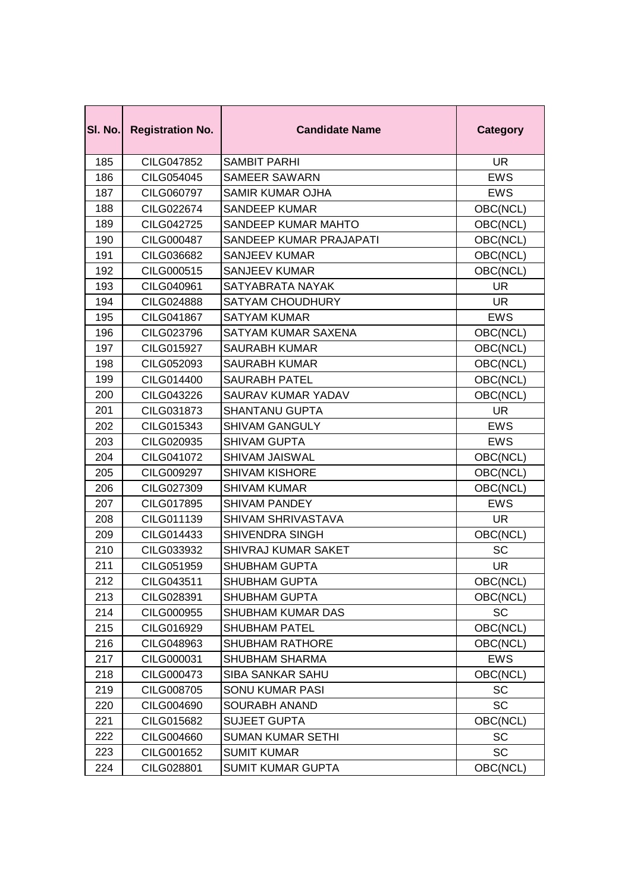| SI. No. | <b>Registration No.</b> | <b>Candidate Name</b>    | <b>Category</b> |
|---------|-------------------------|--------------------------|-----------------|
| 185     | CILG047852              | <b>SAMBIT PARHI</b>      | <b>UR</b>       |
| 186     | CILG054045              | <b>SAMEER SAWARN</b>     | <b>EWS</b>      |
| 187     | CILG060797              | SAMIR KUMAR OJHA         | <b>EWS</b>      |
| 188     | CILG022674              | SANDEEP KUMAR            | OBC(NCL)        |
| 189     | CILG042725              | SANDEEP KUMAR MAHTO      | OBC(NCL)        |
| 190     | CILG000487              | SANDEEP KUMAR PRAJAPATI  | OBC(NCL)        |
| 191     | CILG036682              | <b>SANJEEV KUMAR</b>     | OBC(NCL)        |
| 192     | CILG000515              | <b>SANJEEV KUMAR</b>     | OBC(NCL)        |
| 193     | CILG040961              | SATYABRATA NAYAK         | <b>UR</b>       |
| 194     | CILG024888              | SATYAM CHOUDHURY         | <b>UR</b>       |
| 195     | CILG041867              | <b>SATYAM KUMAR</b>      | <b>EWS</b>      |
| 196     | CILG023796              | SATYAM KUMAR SAXENA      | OBC(NCL)        |
| 197     | CILG015927              | <b>SAURABH KUMAR</b>     | OBC(NCL)        |
| 198     | CILG052093              | <b>SAURABH KUMAR</b>     | OBC(NCL)        |
| 199     | CILG014400              | <b>SAURABH PATEL</b>     | OBC(NCL)        |
| 200     | CILG043226              | SAURAV KUMAR YADAV       | OBC(NCL)        |
| 201     | CILG031873              | <b>SHANTANU GUPTA</b>    | <b>UR</b>       |
| 202     | CILG015343              | <b>SHIVAM GANGULY</b>    | <b>EWS</b>      |
| 203     | CILG020935              | <b>SHIVAM GUPTA</b>      | <b>EWS</b>      |
| 204     | CILG041072              | SHIVAM JAISWAL           | OBC(NCL)        |
| 205     | CILG009297              | <b>SHIVAM KISHORE</b>    | OBC(NCL)        |
| 206     | CILG027309              | <b>SHIVAM KUMAR</b>      | OBC(NCL)        |
| 207     | CILG017895              | <b>SHIVAM PANDEY</b>     | <b>EWS</b>      |
| 208     | CILG011139              | SHIVAM SHRIVASTAVA       | <b>UR</b>       |
| 209     | CILG014433              | SHIVENDRA SINGH          | OBC(NCL)        |
| 210     | CILG033932              | SHIVRAJ KUMAR SAKET      | SC              |
| 211     | CILG051959              | <b>SHUBHAM GUPTA</b>     | <b>UR</b>       |
| 212     | CILG043511              | SHUBHAM GUPTA            | OBC(NCL)        |
| 213     | CILG028391              | <b>SHUBHAM GUPTA</b>     | OBC(NCL)        |
| 214     | CILG000955              | SHUBHAM KUMAR DAS        | SC              |
| 215     | CILG016929              | <b>SHUBHAM PATEL</b>     | OBC(NCL)        |
| 216     | CILG048963              | <b>SHUBHAM RATHORE</b>   | OBC(NCL)        |
| 217     | CILG000031              | SHUBHAM SHARMA           | <b>EWS</b>      |
| 218     | CILG000473              | <b>SIBA SANKAR SAHU</b>  | OBC(NCL)        |
| 219     | CILG008705              | <b>SONU KUMAR PASI</b>   | SC              |
| 220     | CILG004690              | <b>SOURABH ANAND</b>     | SC              |
| 221     | CILG015682              | <b>SUJEET GUPTA</b>      | OBC(NCL)        |
| 222     | CILG004660              | <b>SUMAN KUMAR SETHI</b> | SC              |
| 223     | CILG001652              | <b>SUMIT KUMAR</b>       | <b>SC</b>       |
| 224     | CILG028801              | <b>SUMIT KUMAR GUPTA</b> | OBC(NCL)        |